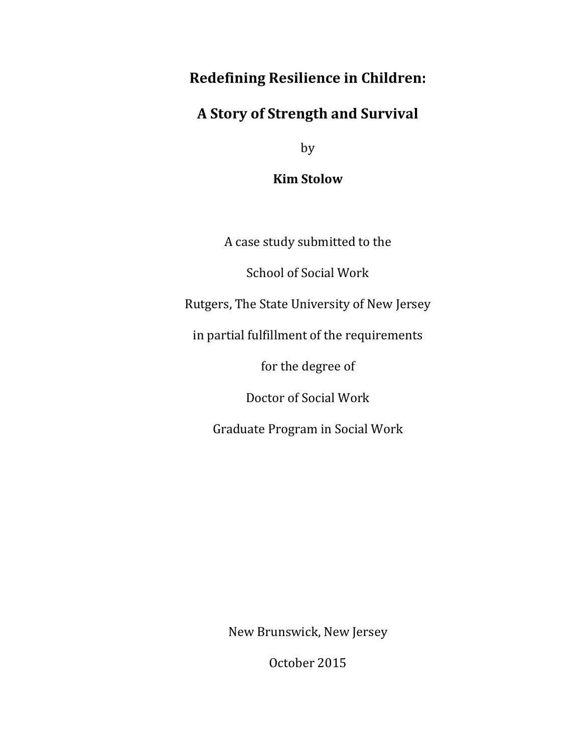# **Redefining Resilience in Children:**

## **A Story of Strength and Survival**

by

**Kim Stolow**

A case study submitted to the

School of Social Work

Rutgers, The State University of New Jersey

in partial fulfillment of the requirements

for the degree of

Doctor of Social Work

Graduate Program in Social Work

New Brunswick, New Jersey

October 2015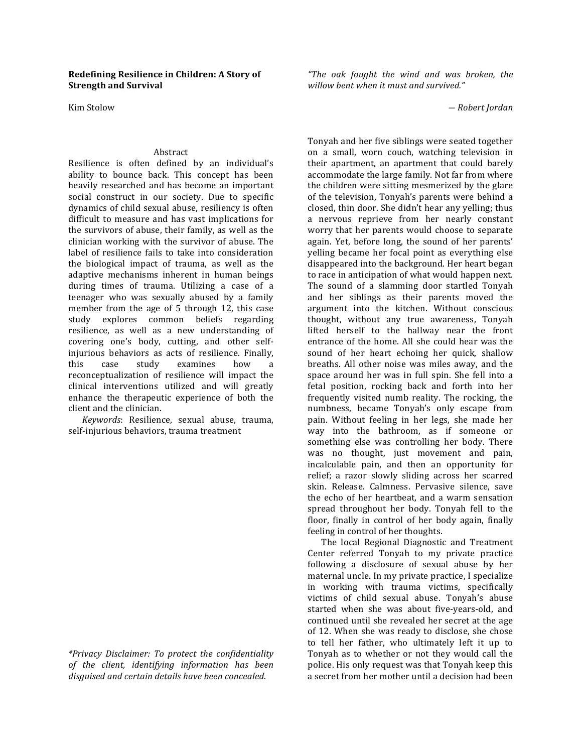#### **Redefining Resilience in Children: A Story of Strength and Survival**

Kim Stolow 

#### Abstract

Resilience is often defined by an individual's ability to bounce back. This concept has been heavily researched and has become an important social construct in our society. Due to specific dynamics of child sexual abuse, resiliency is often difficult to measure and has vast implications for the survivors of abuse, their family, as well as the clinician working with the survivor of abuse. The label of resilience fails to take into consideration the biological impact of trauma, as well as the adaptive mechanisms inherent in human beings during times of trauma. Utilizing a case of a teenager who was sexually abused by a family member from the age of  $5$  through 12, this case study explores common beliefs regarding resilience, as well as a new understanding of covering one's body, cutting, and other selfinjurious behaviors as acts of resilience. Finally, this case study examines how a reconceptualization of resilience will impact the clinical interventions utilized and will greatly enhance the therapeutic experience of both the client and the clinician.

*Keywords*: Resilience, sexual abuse, trauma, self-injurious behaviors, trauma treatment

*\*Privacy Disclaimer: To protect the confidentiality of the client, identifying information has been disguised and certain details have been concealed.*

*"The oak fought the wind and was broken, the willow bent when it must and survived."*

*― Robert Jordan*

Tonyah and her five siblings were seated together on a small, worn couch, watching television in their apartment, an apartment that could barely accommodate the large family. Not far from where the children were sitting mesmerized by the glare of the television, Tonyah's parents were behind a closed, thin door. She didn't hear any yelling; thus a nervous reprieve from her nearly constant worry that her parents would choose to separate again. Yet, before long, the sound of her parents' yelling became her focal point as everything else disappeared into the background. Her heart began to race in anticipation of what would happen next. The sound of a slamming door startled Tonyah and her siblings as their parents moved the argument into the kitchen. Without conscious thought, without any true awareness, Tonyah lifted herself to the hallway near the front entrance of the home. All she could hear was the sound of her heart echoing her quick, shallow breaths. All other noise was miles away, and the space around her was in full spin. She fell into a fetal position, rocking back and forth into her frequently visited numb reality. The rocking, the numbness, became Tonyah's only escape from pain. Without feeling in her legs, she made her way into the bathroom, as if someone or something else was controlling her body. There was no thought, just movement and pain, incalculable pain, and then an opportunity for relief; a razor slowly sliding across her scarred skin. Release. Calmness. Pervasive silence, save the echo of her heartbeat, and a warm sensation spread throughout her body. Tonyah fell to the floor, finally in control of her body again, finally feeling in control of her thoughts.

The local Regional Diagnostic and Treatment Center referred Tonyah to my private practice following a disclosure of sexual abuse by her maternal uncle. In my private practice, I specialize in working with trauma victims, specifically victims of child sexual abuse. Tonyah's abuse started when she was about five-years-old, and continued until she revealed her secret at the age of 12. When she was ready to disclose, she chose to tell her father, who ultimately left it up to Tonyah as to whether or not they would call the police. His only request was that Tonyah keep this a secret from her mother until a decision had been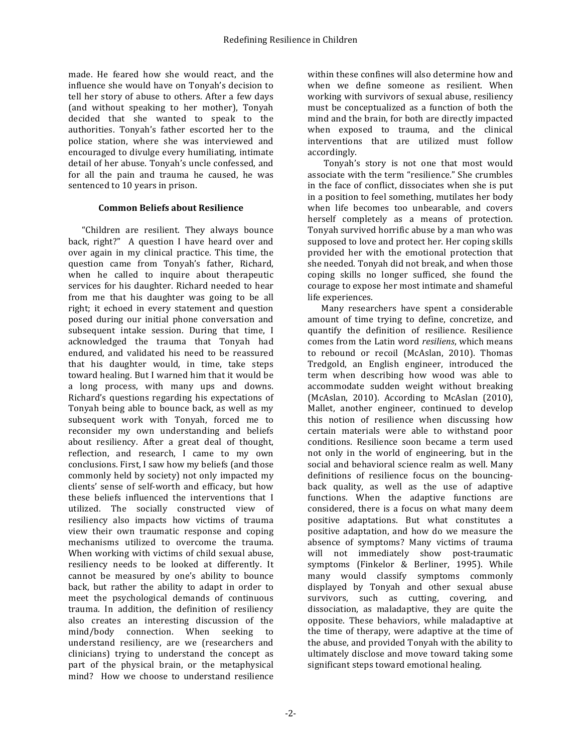made. He feared how she would react, and the influence she would have on Tonyah's decision to tell her story of abuse to others. After a few days (and without speaking to her mother), Tonyah decided that she wanted to speak to the authorities. Tonyah's father escorted her to the police station, where she was interviewed and encouraged to divulge every humiliating, intimate detail of her abuse. Tonyah's uncle confessed, and for all the pain and trauma he caused, he was sentenced to 10 years in prison.

### **Common Beliefs about Resilience**

"Children are resilient. They always bounce back, right?" A question I have heard over and over again in my clinical practice. This time, the question came from Tonyah's father, Richard, when he called to inquire about therapeutic services for his daughter. Richard needed to hear from me that his daughter was going to be all right; it echoed in every statement and question posed during our initial phone conversation and subsequent intake session. During that time, I acknowledged the trauma that Tonyah had endured, and validated his need to be reassured that his daughter would, in time, take steps toward healing. But I warned him that it would be a long process, with many ups and downs. Richard's questions regarding his expectations of Tonyah being able to bounce back, as well as my subsequent work with Tonyah, forced me to reconsider my own understanding and beliefs about resiliency. After a great deal of thought, reflection, and research, I came to my own conclusions. First, I saw how my beliefs (and those commonly held by society) not only impacted my clients' sense of self-worth and efficacy, but how these beliefs influenced the interventions that I utilized. The socially constructed view of resiliency also impacts how victims of trauma view their own traumatic response and coping mechanisms utilized to overcome the trauma. When working with victims of child sexual abuse, resiliency needs to be looked at differently. It cannot be measured by one's ability to bounce back, but rather the ability to adapt in order to meet the psychological demands of continuous trauma. In addition, the definition of resiliency also creates an interesting discussion of the mind/body connection. When seeking to understand resiliency, are we (researchers and clinicians) trying to understand the concept as part of the physical brain, or the metaphysical mind? How we choose to understand resilience

within these confines will also determine how and when we define someone as resilient. When working with survivors of sexual abuse, resiliency must be conceptualized as a function of both the mind and the brain, for both are directly impacted when exposed to trauma, and the clinical interventions that are utilized must follow accordingly.

Tonyah's story is not one that most would associate with the term "resilience." She crumbles in the face of conflict, dissociates when she is put in a position to feel something, mutilates her body when life becomes too unbearable, and covers herself completely as a means of protection. Tonyah survived horrific abuse by a man who was supposed to love and protect her. Her coping skills provided her with the emotional protection that she needed. Tonyah did not break, and when those coping skills no longer sufficed, she found the courage to expose her most intimate and shameful life experiences.

Many researchers have spent a considerable amount of time trying to define, concretize, and quantify the definition of resilience. Resilience comes from the Latin word *resiliens*, which means to rebound or recoil (McAslan, 2010). Thomas Tredgold, an English engineer, introduced the term when describing how wood was able to accommodate sudden weight without breaking (McAslan, 2010). According to McAslan (2010), Mallet, another engineer, continued to develop this notion of resilience when discussing how certain materials were able to withstand poor conditions. Resilience soon became a term used not only in the world of engineering, but in the social and behavioral science realm as well. Many definitions of resilience focus on the bouncingback quality, as well as the use of adaptive functions. When the adaptive functions are considered, there is a focus on what many deem positive adaptations. But what constitutes a positive adaptation, and how do we measure the absence of symptoms? Many victims of trauma will not immediately show post-traumatic symptoms (Finkelor & Berliner, 1995). While many would classify symptoms commonly displayed by Tonyah and other sexual abuse survivors, such as cutting, covering, and dissociation, as maladaptive, they are quite the opposite. These behaviors, while maladaptive at the time of therapy, were adaptive at the time of the abuse, and provided Tonyah with the ability to ultimately disclose and move toward taking some significant steps toward emotional healing.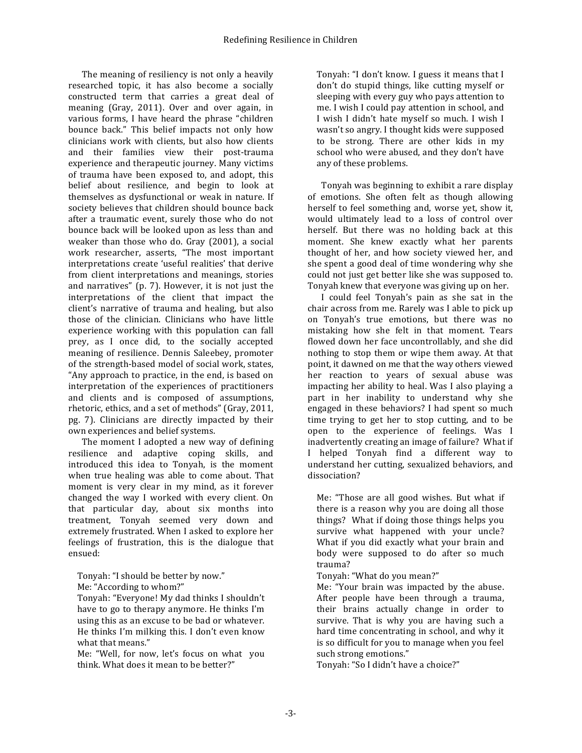The meaning of resiliency is not only a heavily researched topic, it has also become a socially constructed term that carries a great deal of meaning (Gray, 2011). Over and over again, in various forms, I have heard the phrase "children bounce back." This belief impacts not only how clinicians work with clients, but also how clients and their families view their post-trauma experience and therapeutic journey. Many victims of trauma have been exposed to, and adopt, this belief about resilience, and begin to look at themselves as dysfunctional or weak in nature. If society believes that children should bounce back after a traumatic event, surely those who do not bounce back will be looked upon as less than and weaker than those who do. Gray  $(2001)$ , a social work researcher, asserts, "The most important interpretations create 'useful realities' that derive from client interpretations and meanings, stories and narratives" (p.  $7$ ). However, it is not just the interpretations of the client that impact the client's narrative of trauma and healing, but also those of the clinician. Clinicians who have little experience working with this population can fall prey, as I once did, to the socially accepted meaning of resilience. Dennis Saleebey, promoter of the strength-based model of social work, states, "Any approach to practice, in the end, is based on interpretation of the experiences of practitioners and clients and is composed of assumptions, rhetoric, ethics, and a set of methods" (Gray, 2011, pg. 7). Clinicians are directly impacted by their own experiences and belief systems.

The moment I adopted a new way of defining resilience and adaptive coping skills, and introduced this idea to Tonyah, is the moment when true healing was able to come about. That moment is very clear in my mind, as it forever changed the way I worked with every client. On that particular day, about six months into treatment, Tonyah seemed very down and extremely frustrated. When I asked to explore her feelings of frustration, this is the dialogue that ensued:

Tonyah: "I should be better by now." Me: "According to whom?"

Tonyah: "Everyone! My dad thinks I shouldn't have to go to therapy anymore. He thinks I'm using this as an excuse to be bad or whatever. He thinks I'm milking this. I don't even know what that means."

Me: "Well, for now, let's focus on what you think. What does it mean to be better?"

Tonyah: "I don't know. I guess it means that I don't do stupid things, like cutting myself or sleeping with every guy who pays attention to me. I wish I could pay attention in school, and I wish I didn't hate myself so much. I wish I wasn't so angry. I thought kids were supposed to be strong. There are other kids in my school who were abused, and they don't have any of these problems.

Tonyah was beginning to exhibit a rare display of emotions. She often felt as though allowing herself to feel something and, worse yet, show it, would ultimately lead to a loss of control over herself. But there was no holding back at this moment. She knew exactly what her parents thought of her, and how society viewed her, and she spent a good deal of time wondering why she could not just get better like she was supposed to. Tonyah knew that everyone was giving up on her.

I could feel Tonyah's pain as she sat in the chair across from me. Rarely was I able to pick up on Tonyah's true emotions, but there was no mistaking how she felt in that moment. Tears flowed down her face uncontrollably, and she did nothing to stop them or wipe them away. At that point, it dawned on me that the way others viewed her reaction to years of sexual abuse was impacting her ability to heal. Was I also playing a part in her inability to understand why she engaged in these behaviors? I had spent so much time trying to get her to stop cutting, and to be open to the experience of feelings. Was I inadvertently creating an image of failure? What if I helped Tonyah find a different way to understand her cutting, sexualized behaviors, and dissociation?

Me: "Those are all good wishes. But what if there is a reason why you are doing all those things? What if doing those things helps you survive what happened with your uncle? What if you did exactly what your brain and body were supposed to do after so much trauma?

Tonyah: "What do you mean?"

Me: "Your brain was impacted by the abuse. After people have been through a trauma, their brains actually change in order to survive. That is why you are having such a hard time concentrating in school, and why it is so difficult for you to manage when you feel such strong emotions."

Tonyah: "So I didn't have a choice?"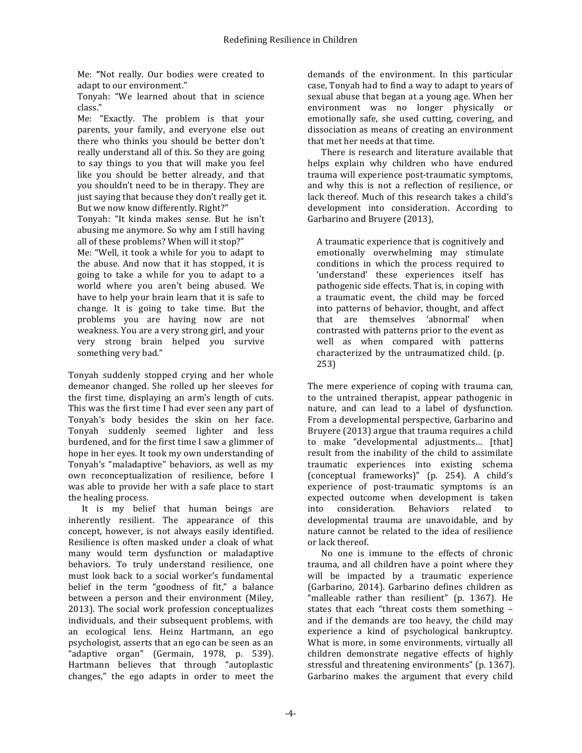Me: "Not really. Our bodies were created to adapt to our environment."

Tonyah: "We learned about that in science class."

Me: "Exactly. The problem is that your parents, your family, and everyone else out there who thinks you should be better don't really understand all of this. So they are going to say things to you that will make you feel like you should be better already, and that you shouldn't need to be in therapy. They are just saying that because they don't really get it. But we now know differently. Right?"

Tonyah: "It kinda makes sense. But he isn't abusing me anymore. So why am I still having all of these problems? When will it stop?"

Me: "Well, it took a while for you to adapt to the abuse. And now that it has stopped, it is going to take a while for you to adapt to a world where you aren't being abused. We have to help your brain learn that it is safe to change. It is going to take time. But the problems you are having now are not weakness. You are a very strong girl, and your very strong brain helped you survive something very bad."

Tonyah suddenly stopped crying and her whole demeanor changed. She rolled up her sleeves for the first time, displaying an arm's length of cuts. This was the first time I had ever seen any part of Tonyah's body besides the skin on her face. Tonyah suddenly seemed lighter and less burdened, and for the first time I saw a glimmer of hope in her eyes. It took my own understanding of Tonyah's "maladaptive" behaviors, as well as my own reconceptualization of resilience, before I was able to provide her with a safe place to start the healing process.

It is my belief that human beings are inherently resilient. The appearance of this concept, however, is not always easily identified. Resilience is often masked under a cloak of what many would term dysfunction or maladaptive behaviors. To truly understand resilience, one must look back to a social worker's fundamental belief in the term "goodness of fit," a balance between a person and their environment (Miley, 2013). The social work profession conceptualizes individuals, and their subsequent problems, with an ecological lens. Heinz Hartmann, an ego psychologist, asserts that an ego can be seen as an "adaptive organ" (Germain, 1978, p. 539). Hartmann believes that through "autoplastic changes," the ego adapts in order to meet the

demands of the environment. In this particular case. Tonyah had to find a way to adapt to years of sexual abuse that began at a young age. When her environment was no longer physically or emotionally safe, she used cutting, covering, and dissociation as means of creating an environment that met her needs at that time.

There is research and literature available that helps explain why children who have endured trauma will experience post-traumatic symptoms, and why this is not a reflection of resilience, or lack thereof. Much of this research takes a child's development into consideration. According to Garbarino and Bruyere (2013),

A traumatic experience that is cognitively and emotionally overwhelming may stimulate conditions in which the process required to 'understand' these experiences itself has pathogenic side effects. That is, in coping with a traumatic event, the child may be forced into patterns of behavior, thought, and affect that are themselves 'abnormal' when contrasted with patterns prior to the event as well as when compared with patterns characterized by the untraumatized child. (p. 253)

The mere experience of coping with trauma can, to the untrained therapist, appear pathogenic in nature, and can lead to a label of dysfunction. From a developmental perspective, Garbarino and Bruyere (2013) argue that trauma requires a child to make "developmental adjustments... [that] result from the inability of the child to assimilate traumatic experiences into existing schema (conceptual frameworks)" (p. 254). A child's experience of post-traumatic symptoms is an expected outcome when development is taken into consideration. Behaviors related to developmental trauma are unavoidable, and by nature cannot be related to the idea of resilience or lack thereof.

No one is immune to the effects of chronic trauma, and all children have a point where they will be impacted by a traumatic experience (Garbarino, 2014). Garbarino defines children as "malleable rather than resilient" (p.  $1367$ ). He states that each "threat costs them something and if the demands are too heavy, the child may experience a kind of psychological bankruptcy. What is more, in some environments, virtually all children demonstrate negative effects of highly stressful and threatening environments" (p. 1367). Garbarino makes the argument that every child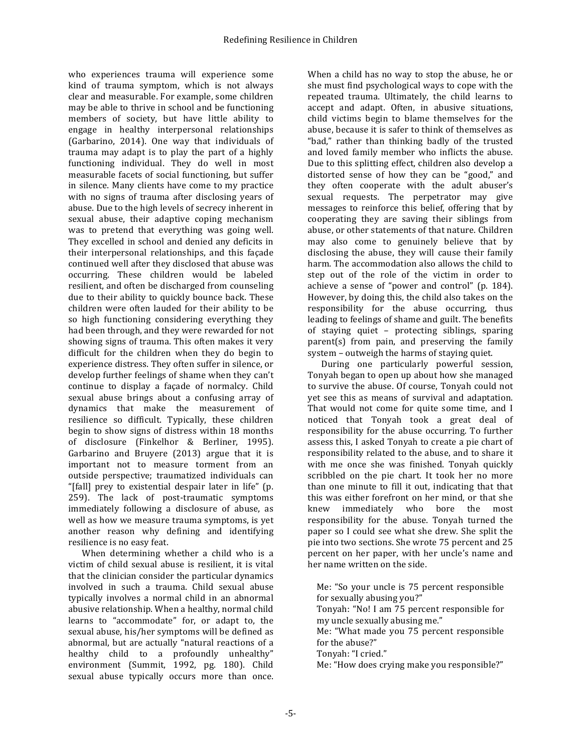who experiences trauma will experience some kind of trauma symptom, which is not always clear and measurable. For example, some children may be able to thrive in school and be functioning members of society, but have little ability to engage in healthy interpersonal relationships (Garbarino, 2014). One way that individuals of trauma may adapt is to play the part of a highly functioning individual. They do well in most measurable facets of social functioning, but suffer in silence. Many clients have come to my practice with no signs of trauma after disclosing years of abuse. Due to the high levels of secrecy inherent in sexual abuse, their adaptive coping mechanism was to pretend that everything was going well. They excelled in school and denied any deficits in their interpersonal relationships, and this facade continued well after they disclosed that abuse was occurring. These children would be labeled resilient, and often be discharged from counseling due to their ability to quickly bounce back. These children were often lauded for their ability to be so high functioning considering everything they had been through, and they were rewarded for not showing signs of trauma. This often makes it very difficult for the children when they do begin to experience distress. They often suffer in silence, or develop further feelings of shame when they can't continue to display a façade of normalcy. Child sexual abuse brings about a confusing array of dynamics that make the measurement of resilience so difficult. Typically, these children begin to show signs of distress within 18 months of disclosure (Finkelhor & Berliner, 1995). Garbarino and Bruyere  $(2013)$  argue that it is important not to measure torment from an outside perspective; traumatized individuals can "[fall] prey to existential despair later in life" (p. 259). The lack of post-traumatic symptoms immediately following a disclosure of abuse, as well as how we measure trauma symptoms, is yet another reason why defining and identifying resilience is no easy feat.

When determining whether a child who is a victim of child sexual abuse is resilient, it is vital that the clinician consider the particular dynamics involved in such a trauma. Child sexual abuse typically involves a normal child in an abnormal abusive relationship. When a healthy, normal child learns to "accommodate" for, or adapt to, the sexual abuse, his/her symptoms will be defined as abnormal, but are actually "natural reactions of a healthy child to a profoundly unhealthy" environment (Summit, 1992, pg. 180). Child sexual abuse typically occurs more than once.

When a child has no way to stop the abuse, he or she must find psychological ways to cope with the repeated trauma. Ultimately, the child learns to accept and adapt. Often, in abusive situations, child victims begin to blame themselves for the abuse, because it is safer to think of themselves as "bad," rather than thinking badly of the trusted and loved family member who inflicts the abuse. Due to this splitting effect, children also develop a distorted sense of how they can be "good," and they often cooperate with the adult abuser's sexual requests. The perpetrator may give messages to reinforce this belief, offering that by cooperating they are saving their siblings from abuse, or other statements of that nature. Children may also come to genuinely believe that by disclosing the abuse, they will cause their family harm. The accommodation also allows the child to step out of the role of the victim in order to achieve a sense of "power and control" (p. 184). However, by doing this, the child also takes on the responsibility for the abuse occurring, thus leading to feelings of shame and guilt. The benefits of staying quiet – protecting siblings, sparing  $parent(s)$  from pain, and preserving the family system - outweigh the harms of staying quiet.

During one particularly powerful session, Tonyah began to open up about how she managed to survive the abuse. Of course, Tonyah could not yet see this as means of survival and adaptation. That would not come for quite some time, and I noticed that Tonyah took a great deal of responsibility for the abuse occurring. To further assess this, I asked Tonyah to create a pie chart of responsibility related to the abuse, and to share it with me once she was finished. Tonyah quickly scribbled on the pie chart. It took her no more than one minute to fill it out, indicating that that this was either forefront on her mind, or that she knew immediately who bore the most responsibility for the abuse. Tonyah turned the paper so I could see what she drew. She split the pie into two sections. She wrote 75 percent and 25 percent on her paper, with her uncle's name and her name written on the side.

Me: "So your uncle is 75 percent responsible for sexually abusing you?" Tonyah: "No! I am 75 percent responsible for my uncle sexually abusing me."

Me: "What made you 75 percent responsible for the abuse?"

Tonyah: "I cried."

Me: "How does crying make you responsible?"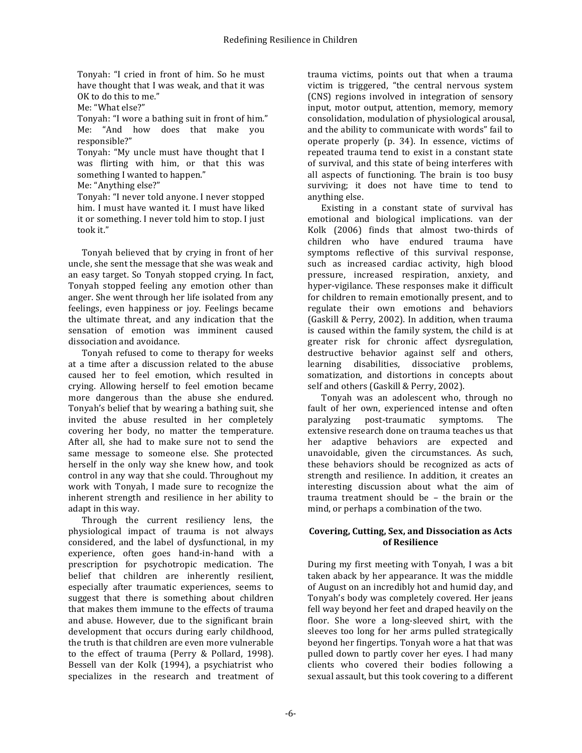Tonyah: "I cried in front of him. So he must have thought that I was weak, and that it was OK to do this to me."

Me: "What else?"

Tonyah: "I wore a bathing suit in front of him." Me: "And how does that make you responsible?"

Tonyah: "My uncle must have thought that I was flirting with him, or that this was something I wanted to happen."

Me: "Anything else?"

Tonyah: "I never told anyone. I never stopped him. I must have wanted it. I must have liked it or something. I never told him to stop. I just took it."

Tonyah believed that by crying in front of her uncle, she sent the message that she was weak and an easy target. So Tonyah stopped crying. In fact, Tonyah stopped feeling any emotion other than anger. She went through her life isolated from any feelings, even happiness or joy. Feelings became the ultimate threat, and any indication that the sensation of emotion was imminent caused dissociation and avoidance.

Tonyah refused to come to therapy for weeks at a time after a discussion related to the abuse caused her to feel emotion, which resulted in crying. Allowing herself to feel emotion became more dangerous than the abuse she endured. Tonyah's belief that by wearing a bathing suit, she invited the abuse resulted in her completely covering her body, no matter the temperature. After all, she had to make sure not to send the same message to someone else. She protected herself in the only way she knew how, and took control in any way that she could. Throughout my work with Tonyah, I made sure to recognize the inherent strength and resilience in her ability to adapt in this way.

Through the current resiliency lens, the physiological impact of trauma is not always considered, and the label of dysfunctional, in my experience, often goes hand-in-hand with a prescription for psychotropic medication. The belief that children are inherently resilient, especially after traumatic experiences, seems to suggest that there is something about children that makes them immune to the effects of trauma and abuse. However, due to the significant brain development that occurs during early childhood, the truth is that children are even more vulnerable to the effect of trauma (Perry & Pollard, 1998). Bessell van der Kolk (1994), a psychiatrist who specializes in the research and treatment of trauma victims, points out that when a trauma victim is triggered, "the central nervous system (CNS) regions involved in integration of sensory input, motor output, attention, memory, memory consolidation, modulation of physiological arousal, and the ability to communicate with words" fail to operate properly  $(p. 34)$ . In essence, victims of repeated trauma tend to exist in a constant state of survival, and this state of being interferes with all aspects of functioning. The brain is too busy surviving; it does not have time to tend to anything else.

Existing in a constant state of survival has emotional and biological implications. van der Kolk (2006) finds that almost two-thirds of children who have endured trauma have symptoms reflective of this survival response, such as increased cardiac activity, high blood pressure, increased respiration, anxiety, and hyper-vigilance. These responses make it difficult for children to remain emotionally present, and to regulate their own emotions and behaviors (Gaskill & Perry, 2002). In addition, when trauma is caused within the family system, the child is at greater risk for chronic affect dysregulation, destructive behavior against self and others, learning disabilities, dissociative problems, somatization, and distortions in concepts about self and others (Gaskill & Perry, 2002).

Tonyah was an adolescent who, through no fault of her own, experienced intense and often paralyzing post-traumatic symptoms. The extensive research done on trauma teaches us that her adaptive behaviors are expected and unavoidable, given the circumstances. As such, these behaviors should be recognized as acts of strength and resilience. In addition, it creates an interesting discussion about what the aim of trauma treatment should be  $-$  the brain or the mind, or perhaps a combination of the two.

### Covering, Cutting, Sex, and Dissociation as Acts **of Resilience**

During my first meeting with Tonyah, I was a bit taken aback by her appearance. It was the middle of August on an incredibly hot and humid day, and Tonyah's body was completely covered. Her jeans fell way beyond her feet and draped heavily on the floor. She wore a long-sleeved shirt, with the sleeves too long for her arms pulled strategically beyond her fingertips. Tonyah wore a hat that was pulled down to partly cover her eyes. I had many clients who covered their bodies following a sexual assault, but this took covering to a different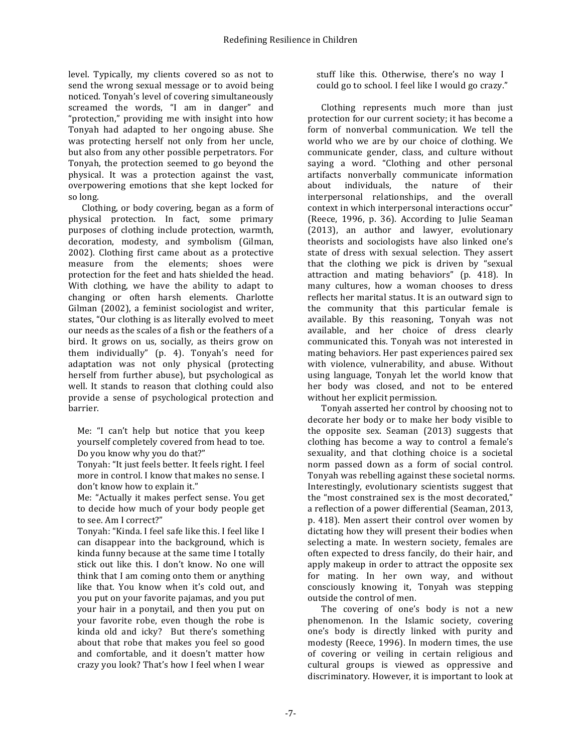level. Typically, my clients covered so as not to send the wrong sexual message or to avoid being noticed. Tonyah's level of covering simultaneously screamed the words, "I am in danger" and "protection," providing me with insight into how Tonyah had adapted to her ongoing abuse. She was protecting herself not only from her uncle, but also from any other possible perpetrators. For Tonyah, the protection seemed to go beyond the physical. It was a protection against the vast, overpowering emotions that she kept locked for so long.

Clothing, or body covering, began as a form of physical protection. In fact, some primary purposes of clothing include protection, warmth, decoration, modesty, and symbolism (Gilman, 2002). Clothing first came about as a protective measure from the elements: shoes were protection for the feet and hats shielded the head. With clothing, we have the ability to adapt to changing or often harsh elements. Charlotte Gilman (2002), a feminist sociologist and writer, states, "Our clothing is as literally evolved to meet our needs as the scales of a fish or the feathers of a bird. It grows on us, socially, as theirs grow on them individually" (p. 4). Tonyah's need for adaptation was not only physical (protecting herself from further abuse), but psychological as well. It stands to reason that clothing could also provide a sense of psychological protection and barrier.

Me: "I can't help but notice that you keep yourself completely covered from head to toe. Do you know why you do that?"

Tonyah: "It just feels better. It feels right. I feel more in control. I know that makes no sense. I don't know how to explain it."

Me: "Actually it makes perfect sense. You get to decide how much of your body people get to see. Am I correct?"

Tonyah: "Kinda. I feel safe like this. I feel like I can disappear into the background, which is kinda funny because at the same time I totally stick out like this. I don't know. No one will think that I am coming onto them or anything like that. You know when it's cold out, and you put on your favorite pajamas, and you put your hair in a ponytail, and then you put on your favorite robe, even though the robe is kinda old and icky? But there's something about that robe that makes you feel so good and comfortable, and it doesn't matter how crazy you look? That's how I feel when I wear

stuff like this. Otherwise, there's no way I could go to school. I feel like I would go crazy."

Clothing represents much more than just protection for our current society; it has become a form of nonverbal communication. We tell the world who we are by our choice of clothing. We communicate gender, class, and culture without saying a word. "Clothing and other personal artifacts nonverbally communicate information about individuals, the nature of their interpersonal relationships, and the overall context in which interpersonal interactions occur" (Reece, 1996, p. 36). According to Julie Seaman (2013), an author and lawyer, evolutionary theorists and sociologists have also linked one's state of dress with sexual selection. They assert that the clothing we pick is driven by "sexual attraction and mating behaviors" (p. 418). In many cultures, how a woman chooses to dress reflects her marital status. It is an outward sign to the community that this particular female is available. By this reasoning, Tonyah was not available, and her choice of dress clearly communicated this. Tonyah was not interested in mating behaviors. Her past experiences paired sex with violence, vulnerability, and abuse. Without using language, Tonyah let the world know that her body was closed, and not to be entered without her explicit permission.

Tonyah asserted her control by choosing not to decorate her body or to make her body visible to the opposite sex. Seaman  $(2013)$  suggests that clothing has become a way to control a female's sexuality, and that clothing choice is a societal norm passed down as a form of social control. Tonyah was rebelling against these societal norms. Interestingly, evolutionary scientists suggest that the "most constrained sex is the most decorated," a reflection of a power differential (Seaman, 2013, p. 418). Men assert their control over women by dictating how they will present their bodies when selecting a mate. In western society, females are often expected to dress fancily, do their hair, and apply makeup in order to attract the opposite sex for mating. In her own way, and without consciously knowing it, Tonyah was stepping outside the control of men.

The covering of one's body is not a new phenomenon. In the Islamic society, covering one's body is directly linked with purity and modesty (Reece, 1996). In modern times, the use of covering or veiling in certain religious and cultural groups is viewed as oppressive and discriminatory. However, it is important to look at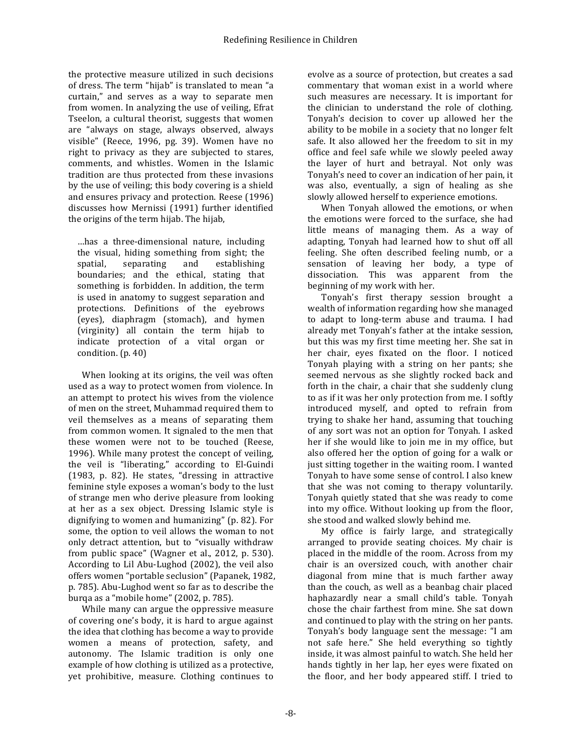the protective measure utilized in such decisions of dress. The term "hijab" is translated to mean "a curtain," and serves as a way to separate men from women. In analyzing the use of veiling, Efrat Tseelon, a cultural theorist, suggests that women are "always on stage, always observed, always visible" (Reece, 1996, pg. 39). Women have no right to privacy as they are subjected to stares, comments, and whistles. Women in the Islamic tradition are thus protected from these invasions by the use of veiling; this body covering is a shield and ensures privacy and protection. Reese (1996) discusses how Mernissi (1991) further identified the origins of the term hijab. The hijab,

…has a three-dimensional nature, including the visual, hiding something from sight; the spatial, separating and establishing boundaries; and the ethical, stating that something is forbidden. In addition, the term is used in anatomy to suggest separation and protections. Definitions of the eyebrows (eyes), diaphragm (stomach), and hymen (virginity) all contain the term hijab to indicate protection of a vital organ or condition.  $(p. 40)$ 

When looking at its origins, the veil was often used as a way to protect women from violence. In an attempt to protect his wives from the violence of men on the street, Muhammad required them to veil themselves as a means of separating them from common women. It signaled to the men that these women were not to be touched (Reese, 1996). While many protest the concept of veiling, the veil is "liberating," according to El-Guindi (1983, p. 82). He states, "dressing in attractive feminine style exposes a woman's body to the lust of strange men who derive pleasure from looking at her as a sex object. Dressing Islamic style is dignifying to women and humanizing"  $(p. 82)$ . For some, the option to veil allows the woman to not only detract attention, but to "visually withdraw from public space" (Wagner et al., 2012, p. 530). According to Lil Abu-Lughod (2002), the veil also offers women "portable seclusion" (Papanek, 1982, p. 785). Abu-Lughod went so far as to describe the burqa as a "mobile home" (2002, p. 785).

While many can argue the oppressive measure of covering one's body, it is hard to argue against the idea that clothing has become a way to provide women a means of protection, safety, and autonomy. The Islamic tradition is only one example of how clothing is utilized as a protective, yet prohibitive, measure. Clothing continues to

evolve as a source of protection, but creates a sad commentary that woman exist in a world where such measures are necessary. It is important for the clinician to understand the role of clothing. Tonyah's decision to cover up allowed her the ability to be mobile in a society that no longer felt safe. It also allowed her the freedom to sit in my office and feel safe while we slowly peeled away the layer of hurt and betrayal. Not only was Tonyah's need to cover an indication of her pain, it was also, eventually, a sign of healing as she slowly allowed herself to experience emotions.

When Tonyah allowed the emotions, or when the emotions were forced to the surface, she had little means of managing them. As a way of adapting, Tonyah had learned how to shut off all feeling. She often described feeling numb, or a sensation of leaving her body, a type of dissociation. This was apparent from the beginning of my work with her.

Tonyah's first therapy session brought a wealth of information regarding how she managed to adapt to long-term abuse and trauma. I had already met Tonyah's father at the intake session, but this was my first time meeting her. She sat in her chair, eyes fixated on the floor. I noticed Tonyah playing with a string on her pants; she seemed nervous as she slightly rocked back and forth in the chair, a chair that she suddenly clung to as if it was her only protection from me. I softly introduced myself, and opted to refrain from trying to shake her hand, assuming that touching of any sort was not an option for Tonyah. I asked her if she would like to join me in my office, but also offered her the option of going for a walk or just sitting together in the waiting room. I wanted Tonyah to have some sense of control. I also knew that she was not coming to therapy voluntarily. Tonyah quietly stated that she was ready to come into my office. Without looking up from the floor, she stood and walked slowly behind me.

My office is fairly large, and strategically arranged to provide seating choices. My chair is placed in the middle of the room. Across from my chair is an oversized couch, with another chair diagonal from mine that is much farther away than the couch, as well as a beanbag chair placed haphazardly near a small child's table. Tonyah chose the chair farthest from mine. She sat down and continued to play with the string on her pants. Tonyah's body language sent the message: "I am not safe here." She held everything so tightly inside, it was almost painful to watch. She held her hands tightly in her lap, her eyes were fixated on the floor, and her body appeared stiff. I tried to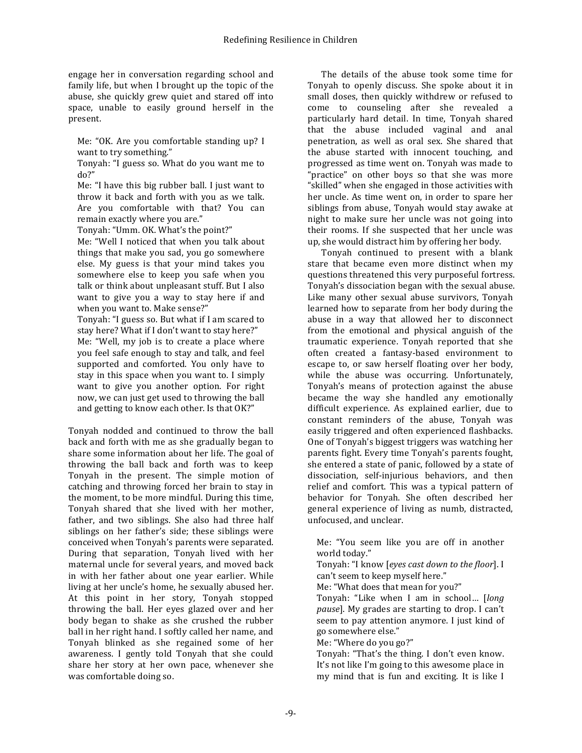engage her in conversation regarding school and family life, but when I brought up the topic of the abuse, she quickly grew quiet and stared off into space, unable to easily ground herself in the present.

Me: "OK. Are you comfortable standing up? I want to try something."

Tonyah: "I guess so. What do you want me to do?"

Me: "I have this big rubber ball. I just want to throw it back and forth with you as we talk. Are you comfortable with that? You can remain exactly where you are."

Tonyah: "Umm. OK. What's the point?"

Me: "Well I noticed that when you talk about things that make you sad, you go somewhere else. My guess is that your mind takes you somewhere else to keep you safe when you talk or think about unpleasant stuff. But I also want to give you a way to stay here if and when you want to. Make sense?"

Tonyah: "I guess so. But what if I am scared to stay here? What if I don't want to stay here?" Me: "Well, my job is to create a place where you feel safe enough to stay and talk, and feel supported and comforted. You only have to stay in this space when you want to. I simply want to give you another option. For right now, we can just get used to throwing the ball and getting to know each other. Is that OK?"

Tonyah nodded and continued to throw the ball back and forth with me as she gradually began to share some information about her life. The goal of throwing the ball back and forth was to keep Tonyah in the present. The simple motion of catching and throwing forced her brain to stay in the moment, to be more mindful. During this time, Tonyah shared that she lived with her mother, father, and two siblings. She also had three half siblings on her father's side; these siblings were conceived when Tonyah's parents were separated. During that separation, Tonyah lived with her maternal uncle for several years, and moved back in with her father about one year earlier. While living at her uncle's home, he sexually abused her. At this point in her story, Tonyah stopped throwing the ball. Her eyes glazed over and her body began to shake as she crushed the rubber ball in her right hand. I softly called her name, and Tonyah blinked as she regained some of her awareness. I gently told Tonyah that she could share her story at her own pace, whenever she was comfortable doing so.

The details of the abuse took some time for Tonyah to openly discuss. She spoke about it in small doses, then quickly withdrew or refused to come to counseling after she revealed a particularly hard detail. In time, Tonyah shared that the abuse included vaginal and anal penetration, as well as oral sex. She shared that the abuse started with innocent touching, and progressed as time went on. Tonyah was made to "practice" on other boys so that she was more "skilled" when she engaged in those activities with her uncle. As time went on, in order to spare her siblings from abuse, Tonyah would stay awake at night to make sure her uncle was not going into their rooms. If she suspected that her uncle was up, she would distract him by offering her body.

Tonyah continued to present with a blank stare that became even more distinct when my questions threatened this very purposeful fortress. Tonyah's dissociation began with the sexual abuse. Like many other sexual abuse survivors, Tonyah learned how to separate from her body during the abuse in a way that allowed her to disconnect from the emotional and physical anguish of the traumatic experience. Tonyah reported that she often created a fantasy-based environment to escape to, or saw herself floating over her body. while the abuse was occurring. Unfortunately, Tonyah's means of protection against the abuse became the way she handled any emotionally difficult experience. As explained earlier, due to constant reminders of the abuse, Tonyah was easily triggered and often experienced flashbacks. One of Tonyah's biggest triggers was watching her parents fight. Every time Tonyah's parents fought, she entered a state of panic, followed by a state of dissociation, self-injurious behaviors, and then relief and comfort. This was a typical pattern of behavior for Tonyah. She often described her general experience of living as numb, distracted, unfocused, and unclear.

Me: "You seem like you are off in another world today."

Tonyah: "I know *[eyes cast down to the floor*]. I can't seem to keep myself here."

Me: "What does that mean for you?"

Tonyah: "Like when I am in school... *[long*] *pause*]. My grades are starting to drop. I can't seem to pay attention anymore. I just kind of go somewhere else."

Me: "Where do you go?"

Tonyah: "That's the thing. I don't even know. It's not like I'm going to this awesome place in my mind that is fun and exciting. It is like I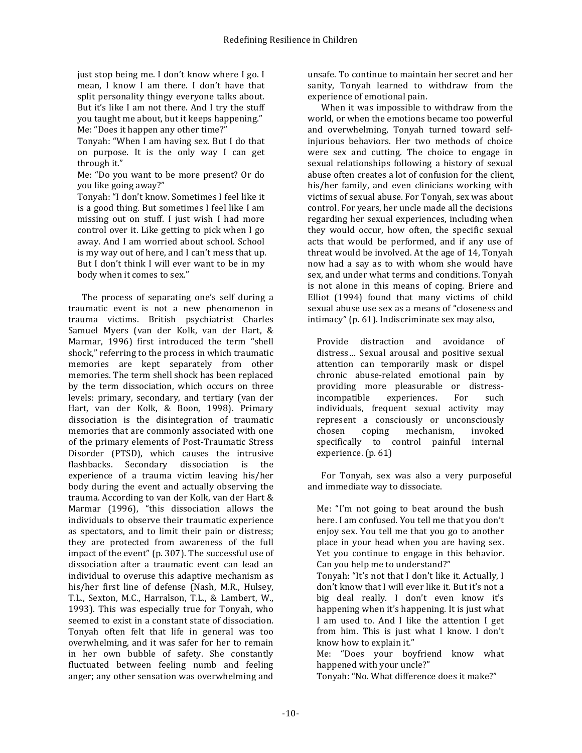just stop being me. I don't know where I go. I mean, I know I am there. I don't have that split personality thingy everyone talks about. But it's like I am not there. And I try the stuff you taught me about, but it keeps happening." Me: "Does it happen any other time?"

Tonyah: "When I am having sex. But I do that on purpose. It is the only way I can get through it." 

Me: "Do you want to be more present? Or do you like going away?"

Tonyah: "I don't know. Sometimes I feel like it is a good thing. But sometimes I feel like I am missing out on stuff. I just wish I had more control over it. Like getting to pick when I go away. And I am worried about school. School is my way out of here, and I can't mess that up. But I don't think I will ever want to be in my body when it comes to sex."

The process of separating one's self during a traumatic event is not a new phenomenon in trauma victims. British psychiatrist Charles Samuel Myers (van der Kolk, van der Hart, & Marmar, 1996) first introduced the term "shell shock," referring to the process in which traumatic memories are kept separately from other memories. The term shell shock has been replaced by the term dissociation, which occurs on three levels: primary, secondary, and tertiary (van der Hart, van der Kolk, & Boon, 1998). Primary dissociation is the disintegration of traumatic memories that are commonly associated with one of the primary elements of Post-Traumatic Stress Disorder (PTSD), which causes the intrusive flashbacks. Secondary dissociation is the experience of a trauma victim leaving his/her body during the event and actually observing the trauma. According to van der Kolk, van der Hart & Marmar (1996), "this dissociation allows the individuals to observe their traumatic experience as spectators, and to limit their pain or distress; they are protected from awareness of the full impact of the event" (p. 307). The successful use of dissociation after a traumatic event can lead an individual to overuse this adaptive mechanism as his/her first line of defense (Nash, M.R., Hulsey, T.L., Sexton, M.C., Harralson, T.L., & Lambert, W., 1993). This was especially true for Tonyah, who seemed to exist in a constant state of dissociation. Tonyah often felt that life in general was too overwhelming, and it was safer for her to remain in her own bubble of safety. She constantly fluctuated between feeling numb and feeling anger; any other sensation was overwhelming and

unsafe. To continue to maintain her secret and her sanity. Tonyah learned to withdraw from the experience of emotional pain.

When it was impossible to withdraw from the world, or when the emotions became too powerful and overwhelming, Tonyah turned toward selfinjurious behaviors. Her two methods of choice were sex and cutting. The choice to engage in sexual relationships following a history of sexual abuse often creates a lot of confusion for the client, his/her family, and even clinicians working with victims of sexual abuse. For Tonyah, sex was about control. For years, her uncle made all the decisions regarding her sexual experiences, including when they would occur, how often, the specific sexual acts that would be performed, and if any use of threat would be involved. At the age of 14, Tonyah now had a say as to with whom she would have sex, and under what terms and conditions. Tonyah is not alone in this means of coping. Briere and Elliot  $(1994)$  found that many victims of child sexual abuse use sex as a means of "closeness and intimacy" (p.  $61$ ). Indiscriminate sex may also,

Provide distraction and avoidance of distress... Sexual arousal and positive sexual attention can temporarily mask or dispel chronic abuse-related emotional pain by providing more pleasurable or distressincompatible experiences. For such individuals, frequent sexual activity may represent a consciously or unconsciously chosen coping mechanism, invoked specifically to control painful internal experience. (p. 61)

For Tonyah, sex was also a very purposeful and immediate way to dissociate.

Me: "I'm not going to beat around the bush here. I am confused. You tell me that you don't enjoy sex. You tell me that you go to another place in your head when you are having sex. Yet you continue to engage in this behavior. Can you help me to understand?"

Tonyah: "It's not that I don't like it. Actually, I don't know that I will ever like it. But it's not a big deal really. I don't even know it's happening when it's happening. It is just what I am used to. And I like the attention I get from him. This is just what I know. I don't know how to explain it."

Me: "Does your boyfriend know what happened with your uncle?"

Tonyah: "No. What difference does it make?"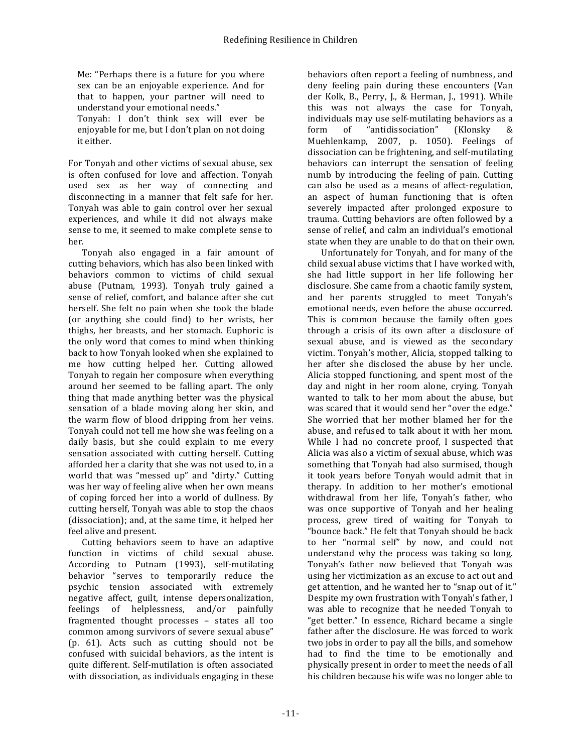Me: "Perhaps there is a future for you where sex can be an enjoyable experience. And for that to happen, your partner will need to understand your emotional needs."

Tonyah: I don't think sex will ever be enjoyable for me, but I don't plan on not doing it either.

For Tonyah and other victims of sexual abuse, sex is often confused for love and affection. Tonyah used sex as her way of connecting and disconnecting in a manner that felt safe for her. Tonyah was able to gain control over her sexual experiences, and while it did not always make sense to me, it seemed to make complete sense to her.

Tonyah also engaged in a fair amount of cutting behaviors, which has also been linked with behaviors common to victims of child sexual abuse (Putnam, 1993). Tonyah truly gained a sense of relief, comfort, and balance after she cut herself. She felt no pain when she took the blade (or anything she could find) to her wrists, her thighs, her breasts, and her stomach. Euphoric is the only word that comes to mind when thinking back to how Tonyah looked when she explained to me how cutting helped her. Cutting allowed Tonyah to regain her composure when everything around her seemed to be falling apart. The only thing that made anything better was the physical sensation of a blade moving along her skin, and the warm flow of blood dripping from her veins. Tonyah could not tell me how she was feeling on a daily basis, but she could explain to me every sensation associated with cutting herself. Cutting afforded her a clarity that she was not used to, in a world that was "messed up" and "dirty." Cutting was her way of feeling alive when her own means of coping forced her into a world of dullness. By cutting herself, Tonyah was able to stop the chaos (dissociation); and, at the same time, it helped her feel alive and present.

Cutting behaviors seem to have an adaptive function in victims of child sexual abuse. According to Putnam (1993), self-mutilating behavior "serves to temporarily reduce the psychic tension associated with extremely negative affect, guilt, intense depersonalization, feelings of helplessness, and/or painfully fragmented thought processes – states all too common among survivors of severe sexual abuse"  $(p. 61)$ . Acts such as cutting should not be confused with suicidal behaviors, as the intent is quite different. Self-mutilation is often associated with dissociation, as individuals engaging in these

behaviors often report a feeling of numbness, and deny feeling pain during these encounters (Van der Kolk, B., Perry, J., & Herman, J., 1991). While this was not always the case for Tonyah, individuals may use self-mutilating behaviors as a form of "antidissociation" (Klonsky & Muehlenkamp, 2007, p. 1050). Feelings of dissociation can be frightening, and self-mutilating behaviors can interrupt the sensation of feeling numb by introducing the feeling of pain. Cutting can also be used as a means of affect-regulation, an aspect of human functioning that is often severely impacted after prolonged exposure to trauma. Cutting behaviors are often followed by a sense of relief, and calm an individual's emotional state when they are unable to do that on their own.

Unfortunately for Tonyah, and for many of the child sexual abuse victims that I have worked with. she had little support in her life following her disclosure. She came from a chaotic family system, and her parents struggled to meet Tonyah's emotional needs, even before the abuse occurred. This is common because the family often goes through a crisis of its own after a disclosure of sexual abuse, and is viewed as the secondary victim. Tonyah's mother, Alicia, stopped talking to her after she disclosed the abuse by her uncle. Alicia stopped functioning, and spent most of the day and night in her room alone, crying. Tonyah wanted to talk to her mom about the abuse, but was scared that it would send her "over the edge." She worried that her mother blamed her for the abuse, and refused to talk about it with her mom. While I had no concrete proof, I suspected that Alicia was also a victim of sexual abuse, which was something that Tonyah had also surmised, though it took years before Tonyah would admit that in therapy. In addition to her mother's emotional withdrawal from her life, Tonyah's father, who was once supportive of Tonyah and her healing process, grew tired of waiting for Tonyah to "bounce back." He felt that Tonyah should be back to her "normal self" by now, and could not understand why the process was taking so long. Tonyah's father now believed that Tonyah was using her victimization as an excuse to act out and get attention, and he wanted her to "snap out of it." Despite my own frustration with Tonyah's father, I was able to recognize that he needed Tonyah to "get better." In essence, Richard became a single father after the disclosure. He was forced to work two jobs in order to pay all the bills, and somehow had to find the time to be emotionally and physically present in order to meet the needs of all his children because his wife was no longer able to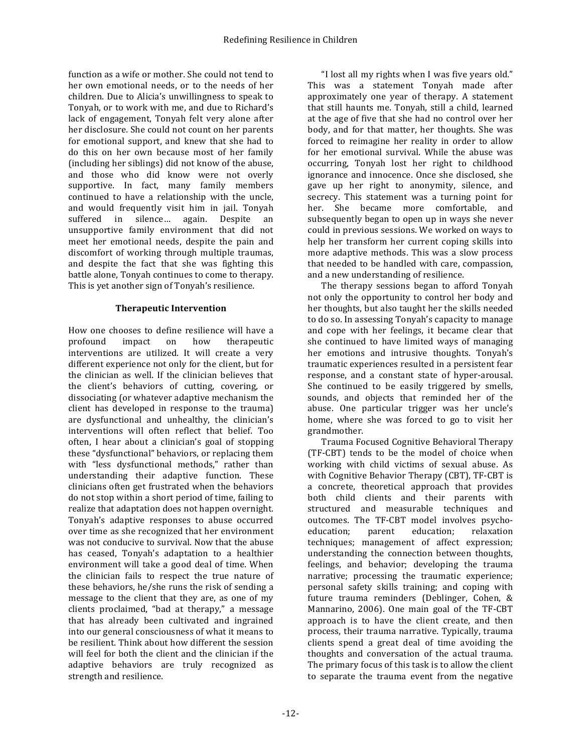function as a wife or mother. She could not tend to her own emotional needs, or to the needs of her children. Due to Alicia's unwillingness to speak to Tonyah, or to work with me, and due to Richard's lack of engagement, Tonyah felt very alone after her disclosure. She could not count on her parents for emotional support, and knew that she had to do this on her own because most of her family (including her siblings) did not know of the abuse, and those who did know were not overly supportive. In fact, many family members continued to have a relationship with the uncle, and would frequently visit him in jail. Tonyah suffered in silence... again. Despite an unsupportive family environment that did not meet her emotional needs, despite the pain and discomfort of working through multiple traumas, and despite the fact that she was fighting this battle alone, Tonyah continues to come to therapy. This is yet another sign of Tonyah's resilience.

### **Therapeutic Intervention**

How one chooses to define resilience will have a profound impact on how therapeutic interventions are utilized. It will create a very different experience not only for the client, but for the clinician as well. If the clinician believes that the client's behaviors of cutting, covering, or dissociating (or whatever adaptive mechanism the client has developed in response to the trauma) are dysfunctional and unhealthy, the clinician's interventions will often reflect that belief. Too often, I hear about a clinician's goal of stopping these "dysfunctional" behaviors, or replacing them with "less dysfunctional methods," rather than understanding their adaptive function. These clinicians often get frustrated when the behaviors do not stop within a short period of time, failing to realize that adaptation does not happen overnight. Tonyah's adaptive responses to abuse occurred over time as she recognized that her environment was not conducive to survival. Now that the abuse has ceased, Tonyah's adaptation to a healthier environment will take a good deal of time. When the clinician fails to respect the true nature of these behaviors, he/she runs the risk of sending a message to the client that they are, as one of my clients proclaimed, "bad at therapy," a message that has already been cultivated and ingrained into our general consciousness of what it means to be resilient. Think about how different the session will feel for both the client and the clinician if the adaptive behaviors are truly recognized as strength and resilience.

"I lost all my rights when I was five years old." This was a statement Tonyah made after approximately one year of therapy. A statement that still haunts me. Tonyah, still a child, learned at the age of five that she had no control over her body, and for that matter, her thoughts. She was forced to reimagine her reality in order to allow for her emotional survival. While the abuse was occurring, Tonyah lost her right to childhood ignorance and innocence. Once she disclosed, she gave up her right to anonymity, silence, and secrecy. This statement was a turning point for her. She became more comfortable, and subsequently began to open up in ways she never could in previous sessions. We worked on ways to help her transform her current coping skills into more adaptive methods. This was a slow process that needed to be handled with care, compassion, and a new understanding of resilience.

The therapy sessions began to afford Tonyah not only the opportunity to control her body and her thoughts, but also taught her the skills needed to do so. In assessing Tonyah's capacity to manage and cope with her feelings, it became clear that she continued to have limited ways of managing her emotions and intrusive thoughts. Tonyah's traumatic experiences resulted in a persistent fear response, and a constant state of hyper-arousal. She continued to be easily triggered by smells, sounds, and objects that reminded her of the abuse. One particular trigger was her uncle's home, where she was forced to go to visit her grandmother.

Trauma Focused Cognitive Behavioral Therapy (TF-CBT) tends to be the model of choice when working with child victims of sexual abuse. As with Cognitive Behavior Therapy (CBT), TF-CBT is a concrete, theoretical approach that provides both child clients and their parents with structured and measurable techniques and outcomes. The TF-CBT model involves psychoeducation; parent education; relaxation techniques; management of affect expression; understanding the connection between thoughts, feelings, and behavior; developing the trauma narrative; processing the traumatic experience; personal safety skills training; and coping with future trauma reminders (Deblinger, Cohen, & Mannarino, 2006). One main goal of the TF-CBT approach is to have the client create, and then process, their trauma narrative. Typically, trauma clients spend a great deal of time avoiding the thoughts and conversation of the actual trauma. The primary focus of this task is to allow the client to separate the trauma event from the negative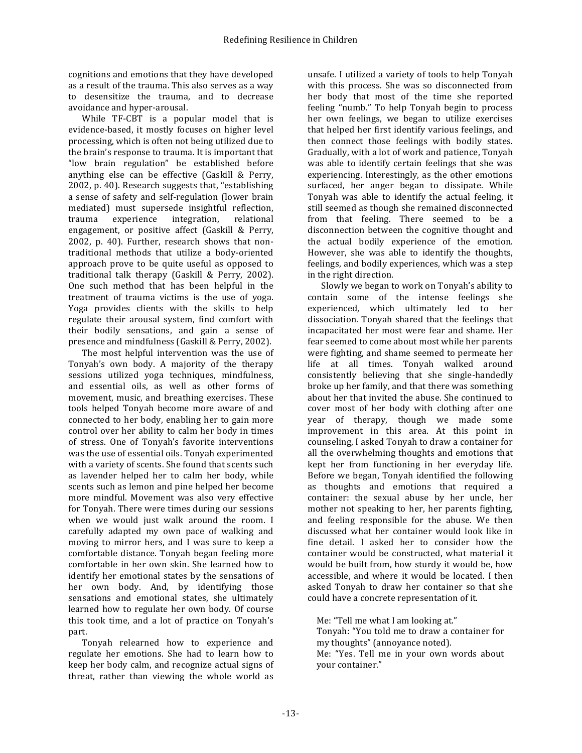cognitions and emotions that they have developed as a result of the trauma. This also serves as a way to desensitize the trauma, and to decrease avoidance and hyper-arousal.

While TF-CBT is a popular model that is evidence-based, it mostly focuses on higher level processing, which is often not being utilized due to the brain's response to trauma. It is important that "low brain regulation" be established before anything else can be effective (Gaskill & Perry, 2002, p. 40). Research suggests that, "establishing a sense of safety and self-regulation (lower brain mediated) must supersede insightful reflection, trauma experience integration, relational engagement, or positive affect (Gaskill & Perry, 2002, p. 40). Further, research shows that nontraditional methods that utilize a body-oriented approach prove to be quite useful as opposed to traditional talk therapy (Gaskill & Perry, 2002). One such method that has been helpful in the treatment of trauma victims is the use of yoga. Yoga provides clients with the skills to help regulate their arousal system, find comfort with their bodily sensations, and gain a sense of presence and mindfulness (Gaskill & Perry, 2002).

The most helpful intervention was the use of Tonyah's own body. A majority of the therapy sessions utilized yoga techniques, mindfulness, and essential oils, as well as other forms of movement, music, and breathing exercises. These tools helped Tonyah become more aware of and connected to her body, enabling her to gain more control over her ability to calm her body in times of stress. One of Tonyah's favorite interventions was the use of essential oils. Tonyah experimented with a variety of scents. She found that scents such as lavender helped her to calm her body, while scents such as lemon and pine helped her become more mindful. Movement was also very effective for Tonyah. There were times during our sessions when we would just walk around the room. I carefully adapted my own pace of walking and moving to mirror hers, and I was sure to keep a comfortable distance. Tonyah began feeling more comfortable in her own skin. She learned how to identify her emotional states by the sensations of her own body. And, by identifying those sensations and emotional states, she ultimately learned how to regulate her own body. Of course this took time, and a lot of practice on Tonyah's part.

Tonyah relearned how to experience and regulate her emotions. She had to learn how to keep her body calm, and recognize actual signs of threat, rather than viewing the whole world as

unsafe. I utilized a variety of tools to help Tonyah with this process. She was so disconnected from her body that most of the time she reported feeling "numb." To help Tonyah begin to process her own feelings, we began to utilize exercises that helped her first identify various feelings, and then connect those feelings with bodily states. Gradually, with a lot of work and patience, Tonyah was able to identify certain feelings that she was experiencing. Interestingly, as the other emotions surfaced, her anger began to dissipate. While Tonyah was able to identify the actual feeling, it still seemed as though she remained disconnected from that feeling. There seemed to be a disconnection between the cognitive thought and the actual bodily experience of the emotion. However, she was able to identify the thoughts, feelings, and bodily experiences, which was a step in the right direction.

Slowly we began to work on Tonyah's ability to contain some of the intense feelings she experienced, which ultimately led to her dissociation. Tonyah shared that the feelings that incapacitated her most were fear and shame. Her fear seemed to come about most while her parents were fighting, and shame seemed to permeate her life at all times. Tonyah walked around consistently believing that she single-handedly broke up her family, and that there was something about her that invited the abuse. She continued to cover most of her body with clothing after one year of therapy, though we made some improvement in this area. At this point in counseling, I asked Tonyah to draw a container for all the overwhelming thoughts and emotions that kept her from functioning in her everyday life. Before we began, Tonyah identified the following as thoughts and emotions that required a container: the sexual abuse by her uncle, her mother not speaking to her, her parents fighting, and feeling responsible for the abuse. We then discussed what her container would look like in fine detail. I asked her to consider how the container would be constructed, what material it would be built from, how sturdy it would be, how accessible, and where it would be located. I then asked Tonyah to draw her container so that she could have a concrete representation of it.

Me: "Tell me what I am looking at." Tonyah: "You told me to draw a container for my thoughts" (annoyance noted). Me: "Yes. Tell me in your own words about your container."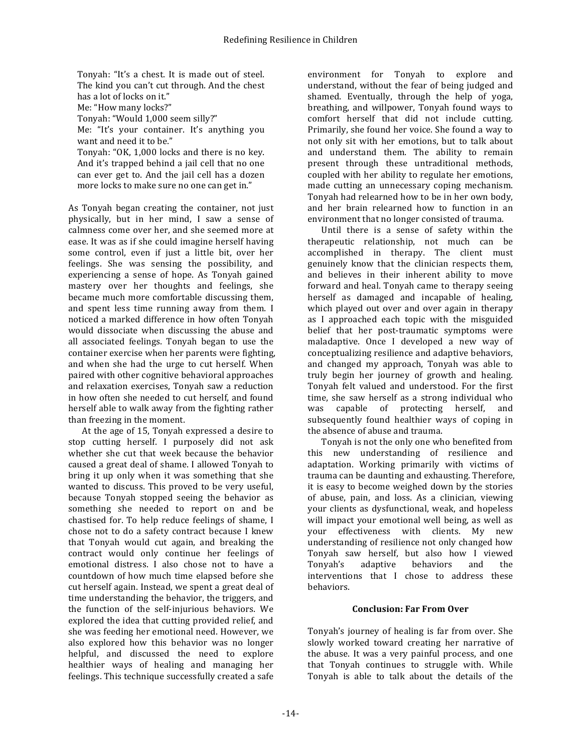Tonyah: "It's a chest. It is made out of steel. The kind you can't cut through. And the chest has a lot of locks on it."

Me: "How many locks?"

Tonyah: "Would 1,000 seem silly?"

Me: "It's your container. It's anything you want and need it to be."

Tonyah: "OK, 1,000 locks and there is no key. And it's trapped behind a jail cell that no one can ever get to. And the jail cell has a dozen more locks to make sure no one can get in."

As Tonyah began creating the container, not just physically, but in her mind, I saw a sense of calmness come over her, and she seemed more at ease. It was as if she could imagine herself having some control, even if just a little bit, over her feelings. She was sensing the possibility, and experiencing a sense of hope. As Tonyah gained mastery over her thoughts and feelings, she became much more comfortable discussing them, and spent less time running away from them. I noticed a marked difference in how often Tonyah would dissociate when discussing the abuse and all associated feelings. Tonyah began to use the container exercise when her parents were fighting, and when she had the urge to cut herself. When paired with other cognitive behavioral approaches and relaxation exercises, Tonyah saw a reduction in how often she needed to cut herself, and found herself able to walk away from the fighting rather than freezing in the moment.

At the age of 15, Tonyah expressed a desire to stop cutting herself. I purposely did not ask whether she cut that week because the behavior caused a great deal of shame. I allowed Tonyah to bring it up only when it was something that she wanted to discuss. This proved to be very useful, because Tonyah stopped seeing the behavior as something she needed to report on and be chastised for. To help reduce feelings of shame, I chose not to do a safety contract because I knew that Tonyah would cut again, and breaking the contract would only continue her feelings of emotional distress. I also chose not to have a countdown of how much time elapsed before she cut herself again. Instead, we spent a great deal of time understanding the behavior, the triggers, and the function of the self-injurious behaviors. We explored the idea that cutting provided relief, and she was feeding her emotional need. However, we also explored how this behavior was no longer helpful, and discussed the need to explore healthier ways of healing and managing her feelings. This technique successfully created a safe

environment for Tonyah to explore and understand, without the fear of being judged and shamed. Eventually, through the help of yoga, breathing, and willpower, Tonyah found ways to comfort herself that did not include cutting. Primarily, she found her voice. She found a way to not only sit with her emotions, but to talk about and understand them. The ability to remain present through these untraditional methods, coupled with her ability to regulate her emotions, made cutting an unnecessary coping mechanism. Tonyah had relearned how to be in her own body, and her brain relearned how to function in an environment that no longer consisted of trauma.

Until there is a sense of safety within the therapeutic relationship, not much can be accomplished in therapy. The client must genuinely know that the clinician respects them. and believes in their inherent ability to move forward and heal. Tonyah came to therapy seeing herself as damaged and incapable of healing, which played out over and over again in therapy as I approached each topic with the misguided belief that her post-traumatic symptoms were maladaptive. Once I developed a new way of conceptualizing resilience and adaptive behaviors, and changed my approach, Tonyah was able to truly begin her journey of growth and healing. Tonyah felt valued and understood. For the first time, she saw herself as a strong individual who was capable of protecting herself, and subsequently found healthier ways of coping in the absence of abuse and trauma.

Tonyah is not the only one who benefited from this new understanding of resilience and adaptation. Working primarily with victims of trauma can be daunting and exhausting. Therefore, it is easy to become weighed down by the stories of abuse, pain, and loss. As a clinician, viewing your clients as dysfunctional, weak, and hopeless will impact your emotional well being, as well as your effectiveness with clients. My new understanding of resilience not only changed how Tonyah saw herself, but also how I viewed Tonyah's adaptive behaviors and the interventions that I chose to address these behaviors.

### **Conclusion: Far From Over**

Tonyah's journey of healing is far from over. She slowly worked toward creating her narrative of the abuse. It was a very painful process, and one that Tonyah continues to struggle with. While Tonyah is able to talk about the details of the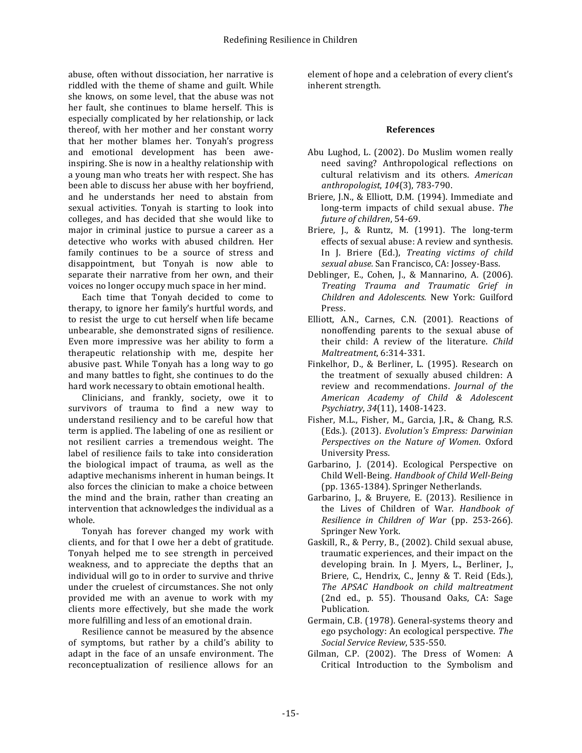abuse, often without dissociation, her narrative is riddled with the theme of shame and guilt. While she knows, on some level, that the abuse was not her fault, she continues to blame herself. This is especially complicated by her relationship, or lack thereof, with her mother and her constant worry that her mother blames her. Tonyah's progress and emotional development has been aweinspiring. She is now in a healthy relationship with a young man who treats her with respect. She has been able to discuss her abuse with her boyfriend, and he understands her need to abstain from sexual activities. Tonyah is starting to look into colleges, and has decided that she would like to major in criminal justice to pursue a career as a detective who works with abused children. Her family continues to be a source of stress and disappointment, but Tonyah is now able to separate their narrative from her own, and their voices no longer occupy much space in her mind.

Each time that Tonyah decided to come to therapy, to ignore her family's hurtful words, and to resist the urge to cut herself when life became unbearable, she demonstrated signs of resilience. Even more impressive was her ability to form a therapeutic relationship with me, despite her abusive past. While Tonyah has a long way to go and many battles to fight, she continues to do the hard work necessary to obtain emotional health.

Clinicians, and frankly, society, owe it to survivors of trauma to find a new way to understand resiliency and to be careful how that term is applied. The labeling of one as resilient or not resilient carries a tremendous weight. The label of resilience fails to take into consideration the biological impact of trauma, as well as the adaptive mechanisms inherent in human beings. It also forces the clinician to make a choice between the mind and the brain, rather than creating an intervention that acknowledges the individual as a whole.

Tonyah has forever changed my work with clients, and for that I owe her a debt of gratitude. Tonyah helped me to see strength in perceived weakness, and to appreciate the depths that an individual will go to in order to survive and thrive under the cruelest of circumstances. She not only provided me with an avenue to work with my clients more effectively, but she made the work more fulfilling and less of an emotional drain.

Resilience cannot be measured by the absence of symptoms, but rather by a child's ability to adapt in the face of an unsafe environment. The reconceptualization of resilience allows for an element of hope and a celebration of every client's inherent strength.

### **References**

- Abu Lughod, L. (2002). Do Muslim women really need saving? Anthropological reflections on cultural relativism and its others. *American anthropologist*, *104*(3), 783-790.
- Briere, J.N., & Elliott, D.M. (1994). Immediate and long-term impacts of child sexual abuse. The future of children, 54-69.
- Briere, J., & Runtz, M. (1991). The long-term effects of sexual abuse: A review and synthesis. In J. Briere (Ed.), *Treating victims of child sexual abuse.* San Francisco, CA: Jossey-Bass.
- Deblinger, E., Cohen, J., & Mannarino, A. (2006). *Treating Trauma and Traumatic Grief in Children and Adolescents.*  New York: Guilford Press.
- Elliott, A.N., Carnes, C.N. (2001). Reactions of nonoffending parents to the sexual abuse of their child: A review of the literature. *Child Maltreatment*, 6:314-331.
- Finkelhor, D., & Berliner, L. (1995). Research on the treatment of sexually abused children: A review and recommendations. *Journal of the American Academy of Child & Adolescent Psychiatry*, *34*(11), 1408-1423.
- Fisher, M.L., Fisher, M., Garcia, J.R., & Chang, R.S. (Eds.). (2013). *Evolution's Empress: Darwinian* Perspectives on the Nature of Women. Oxford University Press.
- Garbarino, J. (2014). Ecological Perspective on Child Well-Being. *Handbook of Child Well-Being* (pp. 1365-1384). Springer Netherlands.
- Garbarino, J., & Bruyere, E. (2013). Resilience in the Lives of Children of War. *Handbook of Resilience in Children of War* (pp. 253-266). Springer New York.
- Gaskill, R., & Perry, B., (2002). Child sexual abuse, traumatic experiences, and their impact on the developing brain. In J. Myers, L., Berliner, J., Briere, C., Hendrix, C., Jenny & T. Reid (Eds.), *The APSAC Handbook on child maltreatment* (2nd ed., p. 55). Thousand Oaks, CA: Sage Publication.
- Germain, C.B. (1978). General-systems theory and ego psychology: An ecological perspective. *The Social Service Review*, 535-550.
- Gilman, C.P. (2002). The Dress of Women: A Critical Introduction to the Symbolism and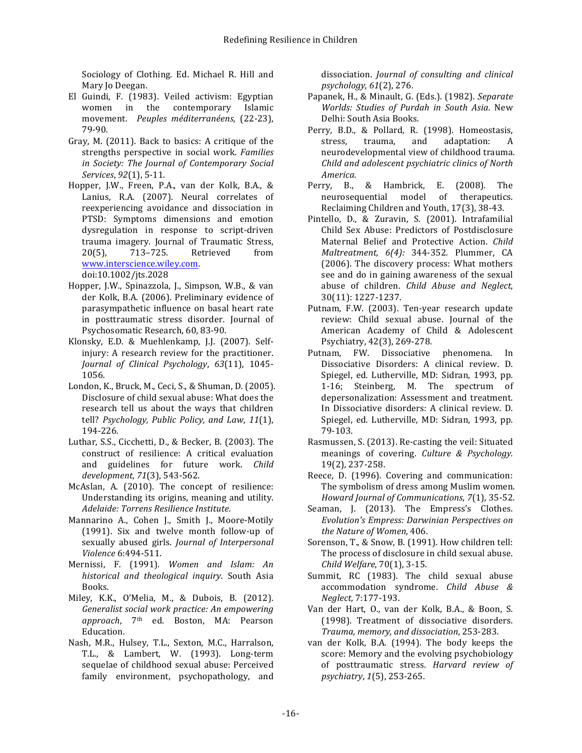Sociology of Clothing. Ed. Michael R. Hill and Mary Io Deegan.

- El Guindi, F. (1983). Veiled activism: Egyptian women in the contemporary Islamic movement. *Peuples méditerranéens*, (22-23), 79-90.
- Gray, M. (2011). Back to basics: A critique of the strengths perspective in social work. Families *in Society: The Journal of Contemporary Social Services*, *92*(1), 5-11.
- Hopper, J.W., Freen, P.A., van der Kolk, B.A., & Lanius, R.A. (2007). Neural correlates of reexperiencing avoidance and dissociation in PTSD: Symptoms dimensions and emotion dysregulation in response to script-driven trauma imagery. Journal of Traumatic Stress, 20(5), 713–725. Retrieved from www.interscience.wiley.com.

doi:10.1002/jts.2028

- Hopper, J.W., Spinazzola, J., Simpson, W.B., & van der Kolk, B.A. (2006). Preliminary evidence of parasympathetic influence on basal heart rate in posttraumatic stress disorder. Journal of Psychosomatic Research, 60, 83-90.
- Klonsky, E.D. & Muehlenkamp, J.J. (2007). Selfinjury: A research review for the practitioner. *Journal of Clinical Psychology*, *63*(11), 1045- 1056.
- London, K., Bruck, M., Ceci, S., & Shuman, D. (2005). Disclosure of child sexual abuse: What does the research tell us about the ways that children tell? *Psychology, Public Policy, and Law*, *11*(1), 194-226.
- Luthar, S.S., Cicchetti, D., & Becker, B. (2003). The construct of resilience: A critical evaluation and guidelines for future work. *Child development*, *71*(3), 543-562.
- McAslan, A. (2010). The concept of resilience: Understanding its origins, meaning and utility. *Adelaide: Torrens Resilience Institute*.
- Mannarino A., Cohen J., Smith J., Moore-Motily (1991). Six and twelve month follow-up of sexually abused girls. *Journal of Interpersonal Violence* 6:494-511.
- Mernissi, F. (1991). *Women and Islam: An historical and theological inquiry*. South Asia Books.
- Miley, K.K., O'Melia, M., & Dubois, B. (2012). Generalist social work practice: An empowering *approach*, 7th ed. Boston, MA: Pearson Education.
- Nash, M.R., Hulsey, T.L., Sexton, M.C., Harralson, T.L., & Lambert, W. (1993). Long-term sequelae of childhood sexual abuse: Perceived family environment, psychopathology, and

dissociation. *Journal of consulting and clinical psychology*, *61*(2), 276.

- Papanek, H., & Minault, G. (Eds.). (1982). Separate *Worlds: Studies of Purdah in South Asia*. New Delhi: South Asia Books.
- Perry, B.D., & Pollard, R. (1998). Homeostasis, stress, trauma, and adaptation: A neurodevelopmental view of childhood trauma. *Child and adolescent psychiatric clinics of North America*.
- Perry, B., & Hambrick, E. (2008). The neurosequential model of therapeutics. Reclaiming Children and Youth, 17(3), 38-43.
- Pintello, D., & Zuravin, S. (2001). Intrafamilial Child Sex Abuse: Predictors of Postdisclosure Maternal Belief and Protective Action. *Child Maltreatment, 6(4):*  344-352*.* Plummer, CA (2006). The discovery process: What mothers see and do in gaining awareness of the sexual abuse of children. *Child Abuse and Neglect*, 30(11): 1227-1237.
- Putnam, F.W. (2003). Ten-year research update review: Child sexual abuse. Journal of the American Academy of Child & Adolescent Psychiatry, 42(3), 269-278.
- Putnam, FW. Dissociative phenomena. In Dissociative Disorders: A clinical review. D. Spiegel, ed. Lutherville, MD: Sidran, 1993, pp. 1-16; Steinberg, M. The spectrum of depersonalization: Assessment and treatment. In Dissociative disorders: A clinical review. D. Spiegel, ed. Lutherville, MD: Sidran, 1993, pp. 79-103.
- Rasmussen, S. (2013). Re-casting the veil: Situated meanings of covering. *Culture & Psychology*. 19(2), 237-258.
- Reece, D. (1996). Covering and communication: The symbolism of dress among Muslim women. *Howard Journal of Communications*, *7*(1), 35-52.
- Seaman, J. (2013). The Empress's Clothes. Evolution's Empress: Darwinian Perspectives on *the Nature of Women*, 406.
- Sorenson, T., & Snow, B. (1991). How children tell: The process of disclosure in child sexual abuse. *Child Welfare*, 70(1), 3-15.
- Summit, RC (1983). The child sexual abuse accommodation syndrome. *Child Abuse & Neglect,* 7:177-193.
- Van der Hart, O., van der Kolk, B.A., & Boon, S. (1998). Treatment of dissociative disorders. *Trauma, memory, and dissociation*, 253-283.
- van der Kolk, B.A. (1994). The body keeps the score: Memory and the evolving psychobiology of posttraumatic stress. *Harvard review of psychiatry*, *1*(5), 253-265.